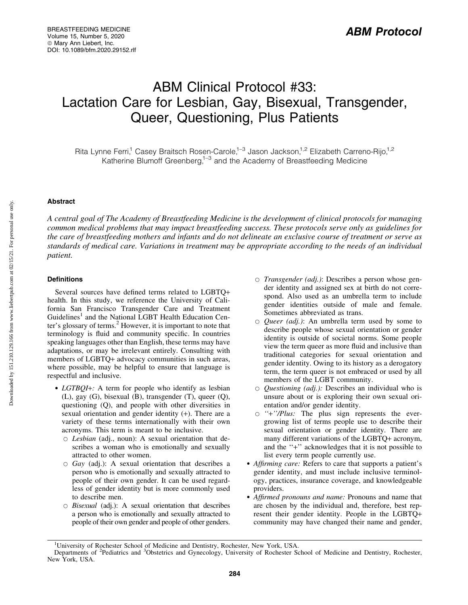# ABM Clinical Protocol #33: Lactation Care for Lesbian, Gay, Bisexual, Transgender, Queer, Questioning, Plus Patients

Rita Lynne Ferri,<sup>1</sup> Casey Braitsch Rosen-Carole,<sup>1–3</sup> Jason Jackson,<sup>1,2</sup> Elizabeth Carreno-Rijo,<sup>1,2</sup> Katherine Blumoff Greenberg,<sup>1-3</sup> and the Academy of Breastfeeding Medicine

# Abstract

*A central goal of The Academy of Breastfeeding Medicine is the development of clinical protocols for managing common medical problems that may impact breastfeeding success. These protocols serve only as guidelines for the care of breastfeeding mothers and infants and do not delineate an exclusive course of treatment or serve as standards of medical care. Variations in treatment may be appropriate according to the needs of an individual patient.*

# **Definitions**

Several sources have defined terms related to LGBTQ+ health. In this study, we reference the University of California San Francisco Transgender Care and Treatment Guidelines<sup>1</sup> and the National LGBT Health Education Center's glossary of terms.<sup>2</sup> However, it is important to note that terminology is fluid and community specific. In countries speaking languages other than English, these terms may have adaptations, or may be irrelevant entirely. Consulting with members of LGBTQ+ advocacy communities in such areas, where possible, may be helpful to ensure that language is respectful and inclusive.

- *LGTBQI*+: A term for people who identify as lesbian (L), gay (G), bisexual (B), transgender (T), queer (Q), questioning (Q), and people with other diversities in sexual orientation and gender identity (+). There are a variety of these terms internationally with their own acronyms. This term is meant to be inclusive.
	- B *Lesbian* (adj., noun): A sexual orientation that describes a woman who is emotionally and sexually attracted to other women.
	- B *Gay* (adj.): A sexual orientation that describes a person who is emotionally and sexually attracted to people of their own gender. It can be used regardless of gender identity but is more commonly used to describe men.
	- $\circ$  *Bisexual* (adj.): A sexual orientation that describes a person who is emotionally and sexually attracted to people of their own gender and people of other genders.
- $\circ$  *Transgender (adj.)*: Describes a person whose gender identity and assigned sex at birth do not correspond. Also used as an umbrella term to include gender identities outside of male and female. Sometimes abbreviated as trans.
- B *Queer (adj.)*: An umbrella term used by some to describe people whose sexual orientation or gender identity is outside of societal norms. Some people view the term queer as more fluid and inclusive than traditional categories for sexual orientation and gender identity. Owing to its history as a derogatory term, the term queer is not embraced or used by all members of the LGBT community.
- B *Questioning (adj.):* Describes an individual who is unsure about or is exploring their own sexual orientation and/or gender identity.
- B *''*+*''/Plus:* The plus sign represents the evergrowing list of terms people use to describe their sexual orientation or gender identity. There are many different variations of the LGBTQ+ acronym, and the ''+'' acknowledges that it is not possible to list every term people currently use.
- *Affirming care:* Refers to care that supports a patient's gender identity, and must include inclusive terminology, practices, insurance coverage, and knowledgeable providers.
- *Affirmed pronouns and name:* Pronouns and name that are chosen by the individual and, therefore, best represent their gender identity. People in the LGBTQ+ community may have changed their name and gender,

<sup>&</sup>lt;sup>1</sup>University of Rochester School of Medicine and Dentistry, Rochester, New York, USA.

Departments of <sup>2</sup>Pediatrics and <sup>3</sup>Obstetrics and Gynecology, University of Rochester School of Medicine and Dentistry, Rochester, New York, USA.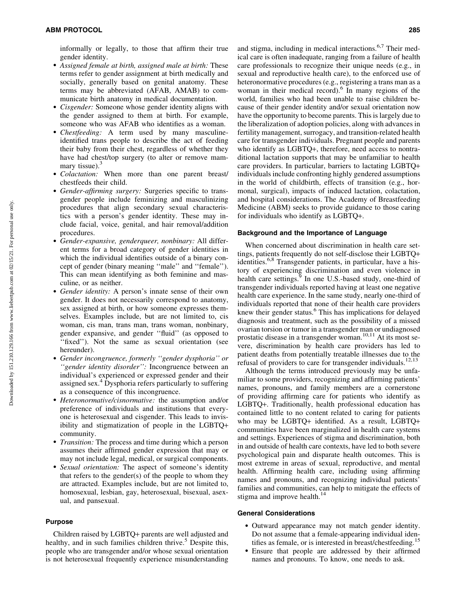informally or legally, to those that affirm their true gender identity.

- *Assigned female at birth, assigned male at birth:* These terms refer to gender assignment at birth medically and socially, generally based on genital anatomy. These terms may be abbreviated (AFAB, AMAB) to communicate birth anatomy in medical documentation.
- *Cisgender:* Someone whose gender identity aligns with the gender assigned to them at birth. For example, someone who was AFAB who identifies as a woman.
- *Chestfeeding:* A term used by many masculineidentified trans people to describe the act of feeding their baby from their chest, regardless of whether they have had chest/top surgery (to alter or remove mammary tissue). $3$
- *Colactation:* When more than one parent breast/ chestfeeds their child.
- *Gender-affirming surgery:* Surgeries specific to transgender people include feminizing and masculinizing procedures that align secondary sexual characteristics with a person's gender identity. These may include facial, voice, genital, and hair removal/addition procedures.
- *Gender-expansive, genderqueer, nonbinary:* All different terms for a broad category of gender identities in which the individual identifies outside of a binary concept of gender (binary meaning ''male'' and ''female''). This can mean identifying as both feminine and masculine, or as neither.
- *Gender identity:* A person's innate sense of their own gender. It does not necessarily correspond to anatomy, sex assigned at birth, or how someone expresses themselves. Examples include, but are not limited to, cis woman, cis man, trans man, trans woman, nonbinary, gender expansive, and gender ''fluid'' (as opposed to "fixed"). Not the same as sexual orientation (see hereunder).
- *Gender incongruence, formerly ''gender dysphoria'' or* 'gender identity disorder'': Incongruence between an individual's experienced or expressed gender and their assigned sex.<sup>4</sup> Dysphoria refers particularly to suffering as a consequence of this incongruence.
- *Heteronormative/cisnormative:* the assumption and/or preference of individuals and institutions that everyone is heterosexual and cisgender. This leads to invisibility and stigmatization of people in the LGBTQ+ community.
- *Transition:* The process and time during which a person assumes their affirmed gender expression that may or may not include legal, medical, or surgical components.
- *Sexual orientation:* The aspect of someone's identity that refers to the gender(s) of the people to whom they are attracted. Examples include, but are not limited to, homosexual, lesbian, gay, heterosexual, bisexual, asexual, and pansexual.

# Purpose

Children raised by LGBTQ+ parents are well adjusted and healthy, and in such families children thrive.<sup>5</sup> Despite this, people who are transgender and/or whose sexual orientation is not heterosexual frequently experience misunderstanding and stigma, including in medical interactions.6,7 Their medical care is often inadequate, ranging from a failure of health care professionals to recognize their unique needs (e.g., in sexual and reproductive health care), to the enforced use of heteronormative procedures (e.g., registering a trans man as a woman in their medical record).<sup>6</sup> In many regions of the world, families who had been unable to raise children because of their gender identity and/or sexual orientation now have the opportunity to become parents. This is largely due to the liberalization of adoption policies, along with advances in fertility management, surrogacy, and transition-related health care for transgender individuals. Pregnant people and parents who identify as LGBTQ+, therefore, need access to nontraditional lactation supports that may be unfamiliar to health care providers. In particular, barriers to lactating LGBTQ+ individuals include confronting highly gendered assumptions in the world of childbirth, effects of transition (e.g., hormonal, surgical), impacts of induced lactation, colactation, and hospital considerations. The Academy of Breastfeeding Medicine (ABM) seeks to provide guidance to those caring for individuals who identify as LGBTQ+.

#### Background and the Importance of Language

When concerned about discrimination in health care settings, patients frequently do not self-disclose their LGBTQ+ identities.<sup>6,8</sup> Transgender patients, in particular, have a history of experiencing discrimination and even violence in health care settings.<sup>9</sup> In one U.S.-based study, one-third of transgender individuals reported having at least one negative health care experience. In the same study, nearly one-third of individuals reported that none of their health care providers knew their gender status.<sup>6</sup> This has implications for delayed diagnosis and treatment, such as the possibility of a missed ovarian torsion or tumor in a transgender man or undiagnosed prostatic disease in a transgender woman.<sup>10,11</sup> At its most severe, discrimination by health care providers has led to patient deaths from potentially treatable illnesses due to the refusal of providers to care for transgender individuals.<sup>12,13</sup>

Although the terms introduced previously may be unfamiliar to some providers, recognizing and affirming patients' names, pronouns, and family members are a cornerstone of providing affirming care for patients who identify as LGBTQ+. Traditionally, health professional education has contained little to no content related to caring for patients who may be LGBTQ+ identified. As a result, LGBTQ+ communities have been marginalized in health care systems and settings. Experiences of stigma and discrimination, both in and outside of health care contexts, have led to both severe psychological pain and disparate health outcomes. This is most extreme in areas of sexual, reproductive, and mental health. Affirming health care, including using affirming names and pronouns, and recognizing individual patients' families and communities, can help to mitigate the effects of stigma and improve health.<sup>14</sup>

### General Considerations

- Outward appearance may not match gender identity. Do not assume that a female-appearing individual identifies as female, or is interested in breast/chestfeeding.<sup>15</sup>
- $\bullet$  Ensure that people are addressed by their affirmed names and pronouns. To know, one needs to ask.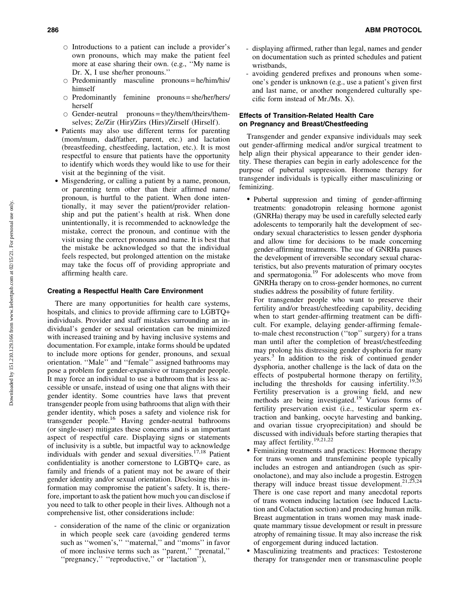- $\circ$  Introductions to a patient can include a provider's own pronouns, which may make the patient feel more at ease sharing their own. (e.g., ''My name is Dr. X, I use she/her pronouns.''
- $\circ$  Predominantly masculine pronouns = he/him/his/ himself
- $\circ$  Predominantly feminine pronouns = she/her/hers/ herself
- $\circ$  Gender-neutral pronouns = they/them/theirs/themselves; Ze/Zir (Hir)/Zirs (Hirs)/Zirself (Hirself).
- Patients may also use different terms for parenting (mom/mum, dad/father, parent, etc.) and lactation (breastfeeding, chestfeeding, lactation, etc.). It is most respectful to ensure that patients have the opportunity to identify which words they would like to use for their visit at the beginning of the visit.
- Misgendering, or calling a patient by a name, pronoun, or parenting term other than their affirmed name/ pronoun, is hurtful to the patient. When done intentionally, it may sever the patient/provider relationship and put the patient's health at risk. When done unintentionally, it is recommended to acknowledge the mistake, correct the pronoun, and continue with the visit using the correct pronouns and name. It is best that the mistake be acknowledged so that the individual feels respected, but prolonged attention on the mistake may take the focus off of providing appropriate and affirming health care.

#### Creating a Respectful Health Care Environment

There are many opportunities for health care systems, hospitals, and clinics to provide affirming care to LGBTQ+ individuals. Provider and staff mistakes surrounding an individual's gender or sexual orientation can be minimized with increased training and by having inclusive systems and documentation. For example, intake forms should be updated to include more options for gender, pronouns, and sexual orientation. ''Male'' and ''female'' assigned bathrooms may pose a problem for gender-expansive or transgender people. It may force an individual to use a bathroom that is less accessible or unsafe, instead of using one that aligns with their gender identity. Some countries have laws that prevent transgender people from using bathrooms that align with their gender identity, which poses a safety and violence risk for transgender people.16 Having gender-neutral bathrooms (or single-user) mitigates these concerns and is an important aspect of respectful care. Displaying signs or statements of inclusivity is a subtle, but impactful way to acknowledge individuals with gender and sexual diversities.<sup>17,18</sup> Patient confidentiality is another cornerstone to LGBTQ+ care, as family and friends of a patient may not be aware of their gender identity and/or sexual orientation. Disclosing this information may compromise the patient's safety. It is, therefore, important to ask the patient how much you can disclose if you need to talk to other people in their lives. Although not a comprehensive list, other considerations include:

- consideration of the name of the clinic or organization in which people seek care (avoiding gendered terms such as "women's," "maternal," and "moms" in favor of more inclusive terms such as ''parent,'' ''prenatal,'' "pregnancy," "reproductive," or "lactation"),

- displaying affirmed, rather than legal, names and gender on documentation such as printed schedules and patient wristbands,
- avoiding gendered prefixes and pronouns when someone's gender is unknown (e.g., use a patient's given first and last name, or another nongendered culturally specific form instead of Mr./Ms. X).

# Effects of Transition-Related Health Care on Pregnancy and Breast/Chestfeeding

Transgender and gender expansive individuals may seek out gender-affirming medical and/or surgical treatment to help align their physical appearance to their gender identity. These therapies can begin in early adolescence for the purpose of pubertal suppression. Hormone therapy for transgender individuals is typically either masculinizing or feminizing.

- Pubertal suppression and timing of gender-affirming treatments: gonadotropin releasing hormone agonist (GNRHa) therapy may be used in carefully selected early adolescents to temporarily halt the development of secondary sexual characteristics to lessen gender dysphoria and allow time for decisions to be made concerning gender-affirming treatments. The use of GNRHa pauses the development of irreversible secondary sexual characteristics, but also prevents maturation of primary oocytes and spermatogonia.19 For adolescents who move from GNRHa therapy on to cross-gender hormones, no current studies address the possibility of future fertility.

For transgender people who want to preserve their fertility and/or breast/chestfeeding capability, deciding when to start gender-affirming treatment can be difficult. For example, delaying gender-affirming femaleto-male chest reconstruction (''top'' surgery) for a trans man until after the completion of breast/chestfeeding may prolong his distressing gender dysphoria for many years.<sup>3</sup> In addition to the risk of continued gender dysphoria, another challenge is the lack of data on the effects of postpubertal hormone therapy on fertility, including the thresholds for causing infertility.<sup>19,20</sup> Fertility preservation is a growing field, and new methods are being investigated.<sup>19</sup> Various forms of fertility preservation exist (i.e., testicular sperm extraction and banking, oocyte harvesting and banking, and ovarian tissue cryoprecipitation) and should be discussed with individuals before starting therapies that may affect fertility.19,21,22

- $\bullet$  Feminizing treatments and practices: Hormone therapy for trans women and transfeminine people typically includes an estrogen and antiandrogen (such as spironolactone), and may also include a progestin. Estrogen therapy will induce breast tissue development.<sup>21,23,24</sup> There is one case report and many anecdotal reports of trans women inducing lactation (see Induced Lactation and Colactation section) and producing human milk. Breast augmentation in trans women may mask inadequate mammary tissue development or result in pressure atrophy of remaining tissue. It may also increase the risk of engorgement during induced lactation.
- Masculinizing treatments and practices: Testosterone therapy for transgender men or transmasculine people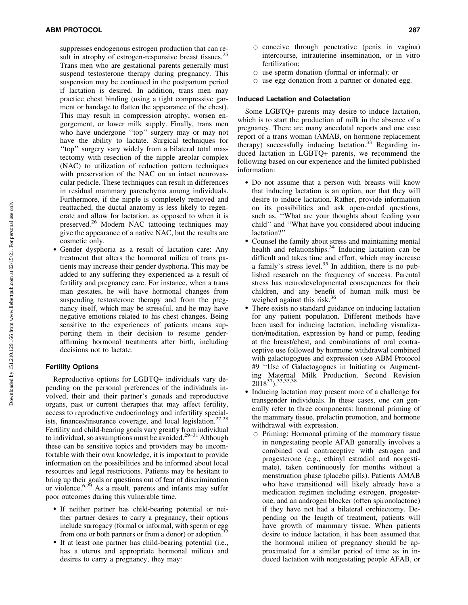suppresses endogenous estrogen production that can result in atrophy of estrogen-responsive breast tissues.<sup>25</sup> Trans men who are gestational parents generally must suspend testosterone therapy during pregnancy. This suspension may be continued in the postpartum period if lactation is desired. In addition, trans men may practice chest binding (using a tight compressive garment or bandage to flatten the appearance of the chest). This may result in compression atrophy, worsen engorgement, or lower milk supply. Finally, trans men who have undergone ''top'' surgery may or may not have the ability to lactate. Surgical techniques for ''top'' surgery vary widely from a bilateral total mastectomy with resection of the nipple areolar complex (NAC) to utilization of reduction pattern techniques with preservation of the NAC on an intact neurovascular pedicle. These techniques can result in differences in residual mammary parenchyma among individuals. Furthermore, if the nipple is completely removed and reattached, the ductal anatomy is less likely to regenerate and allow for lactation, as opposed to when it is preserved.<sup>26</sup> Modern NAC tattooing techniques may give the appearance of a native NAC, but the results are cosmetic only.

- Gender dysphoria as a result of lactation care: Any treatment that alters the hormonal milieu of trans patients may increase their gender dysphoria. This may be added to any suffering they experienced as a result of fertility and pregnancy care. For instance, when a trans man gestates, he will have hormonal changes from suspending testosterone therapy and from the pregnancy itself, which may be stressful, and he may have negative emotions related to his chest changes. Being sensitive to the experiences of patients means supporting them in their decision to resume genderaffirming hormonal treatments after birth, including decisions not to lactate.

# Fertility Options

Reproductive options for LGBTQ+ individuals vary depending on the personal preferences of the individuals involved, their and their partner's gonads and reproductive organs, past or current therapies that may affect fertility, access to reproductive endocrinology and infertility specialists, finances/insurance coverage, and local legislation.<sup>27,28</sup> Fertility and child-bearing goals vary greatly from individual to individual, so assumptions must be avoided.<sup>29-31</sup> Although these can be sensitive topics and providers may be uncomfortable with their own knowledge, it is important to provide information on the possibilities and be informed about local resources and legal restrictions. Patients may be hesitant to bring up their goals or questions out of fear of discrimination or violence.<sup>6,29</sup> As a result, parents and infants may suffer poor outcomes during this vulnerable time.

- If neither partner has child-bearing potential or neither partner desires to carry a pregnancy, their options include surrogacy (formal or informal, with sperm or egg from one or both partners or from a donor) or adoption.<sup>3</sup>
- If at least one partner has child-bearing potential (i.e., has a uterus and appropriate hormonal milieu) and desires to carry a pregnancy, they may:
- $\circ$  conceive through penetrative (penis in vagina) intercourse, intrauterine insemination, or in vitro fertilization;
- $\circ$  use sperm donation (formal or informal); or
- $\circ$  use egg donation from a partner or donated egg.

#### Induced Lactation and Colactation

Some LGBTQ+ parents may desire to induce lactation, which is to start the production of milk in the absence of a pregnancy. There are many anecdotal reports and one case report of a trans woman (AMAB, on hormone replacement therapy) successfully inducing lactation.<sup>33</sup> Regarding induced lactation in LGBTQ+ parents, we recommend the following based on our experience and the limited published information:

- Do not assume that a person with breasts will know that inducing lactation is an option, nor that they will desire to induce lactation. Rather, provide information on its possibilities and ask open-ended questions, such as, ''What are your thoughts about feeding your child'' and ''What have you considered about inducing lactation?''
- Counsel the family about stress and maintaining mental health and relationships.<sup>34</sup> Inducing lactation can be difficult and takes time and effort, which may increase a family's stress level.<sup>35</sup> In addition, there is no published research on the frequency of success. Parental stress has neurodevelopmental consequences for their children, and any benefit of human milk must be weighed against this risk.<sup>36</sup>
- There exists no standard guidance on inducing lactation for any patient population. Different methods have been used for inducing lactation, including visualization/meditation, expression by hand or pump, feeding at the breast/chest, and combinations of oral contraceptive use followed by hormone withdrawal combined with galactogogues and expression (see ABM Protocol #9 ''Use of Galactogogues in Initiating or Augmenting Maternal Milk Production, Second Revision 201837).33,35,38
- Inducing lactation may present more of a challenge for transgender individuals. In these cases, one can generally refer to three components: hormonal priming of the mammary tissue, prolactin promotion, and hormone withdrawal with expression.
	- $\circ$  Priming: Hormonal priming of the mammary tissue in nongestating people AFAB generally involves a combined oral contraceptive with estrogen and progesterone (e.g., ethinyl estradiol and norgestimate), taken continuously for months without a menstruation phase (placebo pills). Patients AMAB who have transitioned will likely already have a medication regimen including estrogen, progesterone, and an androgen blocker (often spironolactone) if they have not had a bilateral orchiectomy. Depending on the length of treatment, patients will have growth of mammary tissue. When patients desire to induce lactation, it has been assumed that the hormonal milieu of pregnancy should be approximated for a similar period of time as in induced lactation with nongestating people AFAB, or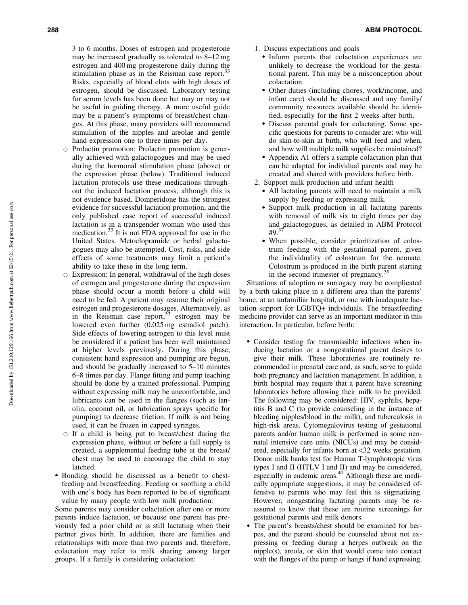3 to 6 months. Doses of estrogen and progesterone may be increased gradually as tolerated to 8–12 mg estrogen and 400 mg progesterone daily during the stimulation phase as in the Reisman case report.<sup>33</sup> Risks, especially of blood clots with high doses of estrogen, should be discussed. Laboratory testing for serum levels has been done but may or may not be useful in guiding therapy. A more useful guide may be a patient's symptoms of breast/chest changes. At this phase, many providers will recommend stimulation of the nipples and areolae and gentle hand expression one to three times per day.

- $\circ$  Prolactin promotion: Prolactin promotion is generally achieved with galactogogues and may be used during the hormonal stimulation phase (above) or the expression phase (below). Traditional induced lactation protocols use these medications throughout the induced lactation process, although this is not evidence based. Domperidone has the strongest evidence for successful lactation promotion, and the only published case report of successful induced lactation is in a transgender woman who used this medication.<sup>33</sup> It is not FDA approved for use in the United States. Metoclopramide or herbal galactogogues may also be attempted. Cost, risks, and side effects of some treatments may limit a patient's ability to take these in the long term.
- $\circ$  Expression: In general, withdrawal of the high doses of estrogen and progesterone during the expression phase should occur a month before a child will need to be fed. A patient may resume their original estrogen and progesterone dosages. Alternatively, as in the Reisman case report,  $33$  estrogen may be lowered even further (0.025 mg estradiol patch). Side effects of lowering estrogen to this level must be considered if a patient has been well maintained at higher levels previously. During this phase, consistent hand expression and pumping are begun, and should be gradually increased to 5–10 minutes 6–8 times per day. Flange fitting and pump teaching should be done by a trained professional. Pumping without expressing milk may be uncomfortable, and lubricants can be used in the flanges (such as lanolin, coconut oil, or lubrication sprays specific for pumping) to decrease friction. If milk is not being used, it can be frozen in capped syringes.
- $\circ$  If a child is being put to breast/chest during the expression phase, without or before a full supply is created, a supplemental feeding tube at the breast/ chest may be used to encourage the child to stay latched.
- Bonding should be discussed as a benefit to chestfeeding and breastfeeding. Feeding or soothing a child with one's body has been reported to be of significant value by many people with low milk production.

Some parents may consider colactation after one or more parents induce lactation, or because one parent has previously fed a prior child or is still lactating when their partner gives birth. In addition, there are families and relationships with more than two parents and, therefore, colactation may refer to milk sharing among larger groups. If a family is considering colactation:

- 1. Discuss expectations and goals
	- Inform parents that colactation experiences are unlikely to decrease the workload for the gestational parent. This may be a misconception about colactation.
	- Other duties (including chores, work/income, and infant care) should be discussed and any family/ community resources available should be identified, especially for the first 2 weeks after birth.
	- Discuss parental goals for colactating. Some specific questions for parents to consider are: who will do skin-to-skin at birth, who will feed and when, and how will multiple milk supplies be maintained?
	- Appendix A1 offers a sample colactation plan that can be adapted for individual parents and may be created and shared with providers before birth.
- 2. Support milk production and infant health
	- All lactating parents will need to maintain a milk supply by feeding or expressing milk.
	- Support milk production in all lactating parents with removal of milk six to eight times per day and galactogogues, as detailed in ABM Protocol  $#9.^{37}$
	- When possible, consider prioritization of colostrum feeding with the gestational parent, given the individuality of colostrum for the neonate. Colostrum is produced in the birth parent starting in the second trimester of pregnancy.<sup>39</sup>

Situations of adoption or surrogacy may be complicated by a birth taking place in a different area than the parents' home, at an unfamiliar hospital, or one with inadequate lactation support for LGBTQ+ individuals. The breastfeeding medicine provider can serve as an important mediator in this interaction. In particular, before birth:

- Consider testing for transmissible infections when inducing lactation or a nongestational parent desires to give their milk. These laboratories are routinely recommended in prenatal care and, as such, serve to guide both pregnancy and lactation management. In addition, a birth hospital may require that a parent have screening laboratories before allowing their milk to be provided. The following may be considered: HIV, syphilis, hepatitis B and C (to provide counseling in the instance of bleeding nipples/blood in the milk), and tuberculosis in high-risk areas. Cytomegalovirus testing of gestational parents and/or human milk is performed in some neonatal intensive care units (NICUs) and may be considered, especially for infants born at <32 weeks gestation. Donor milk banks test for Human T-lymphotropic virus types I and II (HTLV I and II) and may be considered, especially in endemic areas.<sup>40</sup> Although these are medically appropriate suggestions, it may be considered offensive to parents who may feel this is stigmatizing. However, nongestating lactating parents may be reassured to know that these are routine screenings for gestational parents and milk donors.
- $\bullet$  The parent's breasts/chest should be examined for herpes, and the parent should be counseled about not expressing or feeding during a herpes outbreak on the nipple(s), areola, or skin that would come into contact with the flanges of the pump or hangs if hand expressing.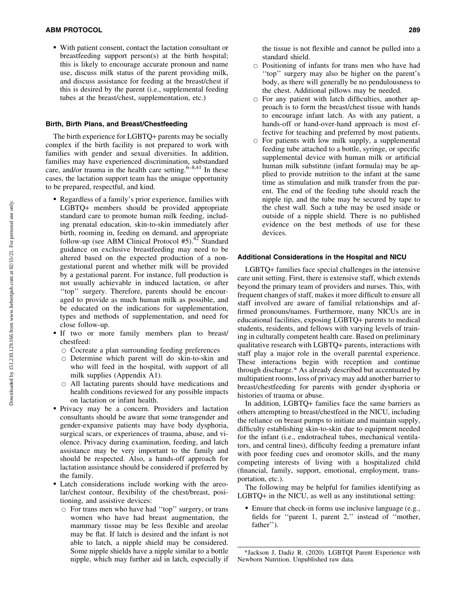- With patient consent, contact the lactation consultant or breastfeeding support person(s) at the birth hospital; this is likely to encourage accurate pronoun and name use, discuss milk status of the parent providing milk, and discuss assistance for feeding at the breast/chest if this is desired by the parent (i.e., supplemental feeding tubes at the breast/chest, supplementation, etc.)

#### Birth, Birth Plans, and Breast/Chestfeeding

The birth experience for LGBTQ+ parents may be socially complex if the birth facility is not prepared to work with families with gender and sexual diversities. In addition, families may have experienced discrimination, substandard care, and/or trauma in the health care setting. $6-8,41$  In these cases, the lactation support team has the unique opportunity to be prepared, respectful, and kind.

- Regardless of a family's prior experience, families with LGBTQ+ members should be provided appropriate standard care to promote human milk feeding, including prenatal education, skin-to-skin immediately after birth, rooming in, feeding on demand, and appropriate follow-up (see ABM Clinical Protocol  $#5$ ).<sup>42</sup> Standard guidance on exclusive breastfeeding may need to be altered based on the expected production of a nongestational parent and whether milk will be provided by a gestational parent. For instance, full production is not usually achievable in induced lactation, or after ''top'' surgery. Therefore, parents should be encouraged to provide as much human milk as possible, and be educated on the indications for supplementation, types and methods of supplementation, and need for close follow-up.
- If two or more family members plan to breast/ chestfeed:
	- $\circ$  Cocreate a plan surrounding feeding preferences
	- $\circ$  Determine which parent will do skin-to-skin and who will feed in the hospital, with support of all milk supplies (Appendix A1).
	- $\circ$  All lactating parents should have medications and health conditions reviewed for any possible impacts on lactation or infant health.
- Privacy may be a concern. Providers and lactation consultants should be aware that some transgender and gender-expansive patients may have body dysphoria, surgical scars, or experiences of trauma, abuse, and violence. Privacy during examination, feeding, and latch assistance may be very important to the family and should be respected. Also, a hands-off approach for lactation assistance should be considered if preferred by the family.
- Latch considerations include working with the areolar/chest contour, flexibility of the chest/breast, positioning, and assistive devices:
	- $\circ$  For trans men who have had "top" surgery, or trans women who have had breast augmentation, the mammary tissue may be less flexible and areolae may be flat. If latch is desired and the infant is not able to latch, a nipple shield may be considered. Some nipple shields have a nipple similar to a bottle nipple, which may further aid in latch, especially if

the tissue is not flexible and cannot be pulled into a standard shield.

- $\circ$  Positioning of infants for trans men who have had ''top'' surgery may also be higher on the parent's body, as there will generally be no pendulousness to the chest. Additional pillows may be needed.
- $\circ$  For any patient with latch difficulties, another approach is to form the breast/chest tissue with hands to encourage infant latch. As with any patient, a hands-off or hand-over-hand approach is most effective for teaching and preferred by most patients.
- $\circ$  For patients with low milk supply, a supplemental feeding tube attached to a bottle, syringe, or specific supplemental device with human milk or artificial human milk substitute (infant formula) may be applied to provide nutrition to the infant at the same time as stimulation and milk transfer from the parent. The end of the feeding tube should reach the nipple tip, and the tube may be secured by tape to the chest wall. Such a tube may be used inside or outside of a nipple shield. There is no published evidence on the best methods of use for these devices.

### Additional Considerations in the Hospital and NICU

LGBTQ+ families face special challenges in the intensive care unit setting. First, there is extensive staff, which extends beyond the primary team of providers and nurses. This, with frequent changes of staff, makes it more difficult to ensure all staff involved are aware of familial relationships and affirmed pronouns/names. Furthermore, many NICUs are in educational facilities, exposing LGBTQ+ parents to medical students, residents, and fellows with varying levels of training in culturally competent health care. Based on preliminary qualitative research with LGBTQ+ parents, interactions with staff play a major role in the overall parental experience. These interactions begin with reception and continue through discharge.\* As already described but accentuated by multipatient rooms, loss of privacy may add another barrier to breast/chestfeeding for parents with gender dysphoria or histories of trauma or abuse.

In addition, LGBTQ+ families face the same barriers as others attempting to breast/chestfeed in the NICU, including the reliance on breast pumps to initiate and maintain supply, difficulty establishing skin-to-skin due to equipment needed for the infant (i.e., endotracheal tubes, mechanical ventilators, and central lines), difficulty feeding a premature infant with poor feeding cues and oromotor skills, and the many competing interests of living with a hospitalized child (financial, family, support, emotional, employment, transportation, etc.).

The following may be helpful for families identifying as LGBTQ+ in the NICU, as well as any institutional setting:

- Ensure that check-in forms use inclusive language (e.g., fields for ''parent 1, parent 2,'' instead of ''mother, father'').

<sup>\*</sup>Jackson J, Dadiz R. (2020). LGBTQI Parent Experience with Newborn Nutrition. Unpublished raw data.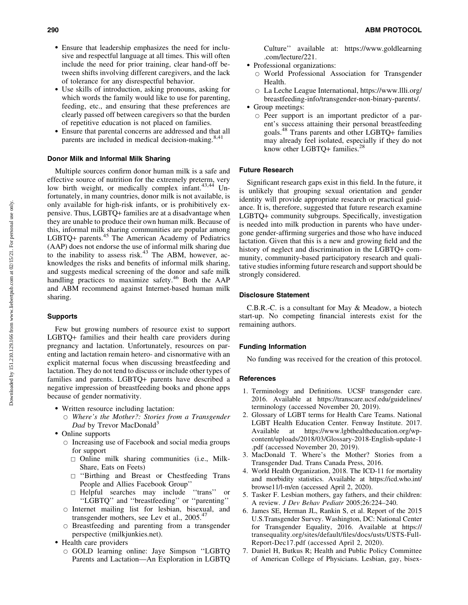- Ensure that leadership emphasizes the need for inclusive and respectful language at all times. This will often include the need for prior training, clear hand-off between shifts involving different caregivers, and the lack of tolerance for any disrespectful behavior.
- Use skills of introduction, asking pronouns, asking for which words the family would like to use for parenting, feeding, etc., and ensuring that these preferences are clearly passed off between caregivers so that the burden of repetitive education is not placed on families.
- Ensure that parental concerns are addressed and that all parents are included in medical decision-making.<sup>8,41</sup>

# Donor Milk and Informal Milk Sharing

Multiple sources confirm donor human milk is a safe and effective source of nutrition for the extremely preterm, very low birth weight, or medically complex infant. $43,44$  Unfortunately, in many countries, donor milk is not available, is only available for high-risk infants, or is prohibitively expensive. Thus, LGBTQ+ families are at a disadvantage when they are unable to produce their own human milk. Because of this, informal milk sharing communities are popular among LGBTQ+ parents.<sup>45</sup> The American Academy of Pediatrics (AAP) does not endorse the use of informal milk sharing due to the inability to assess risk. $43$  The ABM, however, acknowledges the risks and benefits of informal milk sharing, and suggests medical screening of the donor and safe milk handling practices to maximize safety.<sup>46</sup> Both the  $AAP$ and ABM recommend against Internet-based human milk sharing.

#### Supports

Few but growing numbers of resource exist to support LGBTQ+ families and their health care providers during pregnancy and lactation. Unfortunately, resources on parenting and lactation remain hetero- and cisnormative with an explicit maternal focus when discussing breastfeeding and lactation. They do not tend to discuss or include other types of families and parents. LGBTQ+ parents have described a negative impression of breastfeeding books and phone apps because of gender normativity.

- Written resource including lactation:
	- B *Where's the Mother?: Stories from a Transgender Dad* by Trevor MacDonald<sup>3</sup>
- Online supports
	- $\circ$  Increasing use of Facebook and social media groups for support
		- $\Box$  Online milk sharing communities (i.e., Milk-Share, Eats on Feets)
		- $\Box$  "Birthing and Breast or Chestfeeding Trans People and Allies Facebook Group''
		- , Helpful searches may include ''trans'' or ''LGBTQ'' and ''breastfeeding'' or ''parenting''
	- $\circ$  Internet mailing list for lesbian, bisexual, and transgender mothers, see Lev et al., 2005.<sup>47</sup>
	- $\circ$  Breastfeeding and parenting from a transgender perspective (milkjunkies.net).
- Health care providers
	- B GOLD learning online: Jaye Simpson ''LGBTQ Parents and Lactation—An Exploration in LGBTQ

Culture'' available at: [https://www.goldlearning](https://www.goldlearning.com/lecture/221) [.com/lecture/221](https://www.goldlearning.com/lecture/221).

- Professional organizations:
	- $\circ$  World Professional Association for Transgender Health.
	- $\circ$  La Leche League International, [https://www.llli.org/](https://www.llli.org/breastfeeding-info/transgender-non-binary-parents/) [breastfeeding-info/transgender-non-binary-parents/.](https://www.llli.org/breastfeeding-info/transgender-non-binary-parents/)
- Group meetings:
	- $\circ$  Peer support is an important predictor of a parent's success attaining their personal breastfeeding goals.<sup>48</sup> Trans parents and other LGBTQ+ families may already feel isolated, especially if they do not know other LGBTQ+ families.<sup>28</sup>

# Future Research

Significant research gaps exist in this field. In the future, it is unlikely that grouping sexual orientation and gender identity will provide appropriate research or practical guidance. It is, therefore, suggested that future research examine LGBTQ+ community subgroups. Specifically, investigation is needed into milk production in parents who have undergone gender-affirming surgeries and those who have induced lactation. Given that this is a new and growing field and the history of neglect and discrimination in the LGBTQ+ community, community-based participatory research and qualitative studies informing future research and support should be strongly considered.

#### Disclosure Statement

C.B.R.-C. is a consultant for May & Meadow, a biotech start-up. No competing financial interests exist for the remaining authors.

#### Funding Information

No funding was received for the creation of this protocol.

#### **References**

- 1. Terminology and Definitions. UCSF transgender care. 2016. Available at [https://transcare.ucsf.edu/guidelines/](https://transcare.ucsf.edu/guidelines/terminology) [terminology](https://transcare.ucsf.edu/guidelines/terminology) (accessed November 20, 2019).
- 2. Glossary of LGBT terms for Health Care Teams. National LGBT Health Education Center. Fenway Institute. 2017. Available at [https://www.lgbthealtheducation.org/wp](https://www.lgbthealtheducation.org/wp-content/uploads/2018/03/Glossary-2018-English-update-1.pdf)[content/uploads/2018/03/Glossary-2018-English-update-1](https://www.lgbthealtheducation.org/wp-content/uploads/2018/03/Glossary-2018-English-update-1.pdf) [.pdf](https://www.lgbthealtheducation.org/wp-content/uploads/2018/03/Glossary-2018-English-update-1.pdf) (accessed November 20, 2019).
- 3. MacDonald T. Where's the Mother? Stories from a Transgender Dad. Trans Canada Press, 2016.
- 4. World Health Organization, 2018. The ICD-11 for mortality and morbidity statistics. Available at https://icd.who.int/ browse11/l-m/en (accessed April 2, 2020).
- 5. Tasker F. Lesbian mothers, gay fathers, and their children: A review. *J Dev Behav Pediatr* 2005;26:224–240.
- 6. James SE, Herman JL, Rankin S, et al. Report of the 2015 U.S.Transgender Survey. Washington, DC: National Center for Transgender Equality, 2016. Available at [https://](https://transequality.org/sites/default/files/docs/usts/USTS-Full-Report-Dec17.pdf) [transequality.org/sites/default/files/docs/usts/USTS-Full-](https://transequality.org/sites/default/files/docs/usts/USTS-Full-Report-Dec17.pdf)[Report-Dec17.pdf](https://transequality.org/sites/default/files/docs/usts/USTS-Full-Report-Dec17.pdf) (accessed April 2, 2020).
- 7. Daniel H, Butkus R; Health and Public Policy Committee of American College of Physicians. Lesbian, gay, bisex-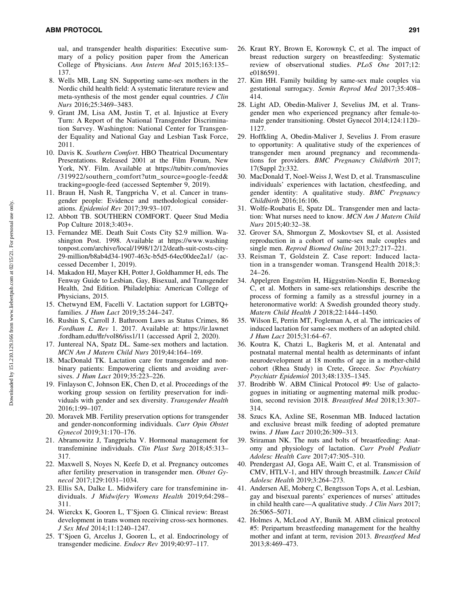ual, and transgender health disparities: Executive summary of a policy position paper from the American College of Physicians. *Ann Intern Med* 2015;163:135– 137.

- 8. Wells MB, Lang SN. Supporting same-sex mothers in the Nordic child health field: A systematic literature review and meta-synthesis of the most gender equal countries. *J Clin Nurs* 2016;25:3469–3483.
- 9. Grant JM, Lisa AM, Justin T, et al. Injustice at Every Turn: A Report of the National Transgender Discrimination Survey. Washington: National Center for Transgender Equality and National Gay and Lesbian Task Force, 2011.
- 10. Davis K. *Southern Comfort*. HBO Theatrical Documentary Presentations. Released 2001 at the Film Forum, New York, NY. Film. Available at https://tubitv.com/movies /319922/southern\_comfort?utm\_source=google-feed& tracking=google-feed (accessed September 9, 2019).
- 11. Braun H, Nash R, Tangpricha V, et al. Cancer in transgender people: Evidence and methodological considerations. *Epidemiol Rev* 2017;39:93–107.
- 12. Abbott TB. SOUTHERN COMFORT. Queer Stud Media Pop Culture 2018;3:403+.
- 13. Fernandez ME. Death Suit Costs City \$2.9 million. Washington Post. 1998. Available at [https://www.washing](https://www.washingtonpost.com/archive/local/1998/12/12/death-suit-costs-city-29-million/b8ab4d34-1907-463c-b5d5-64ec00dee2a1/) [tonpost.com/archive/local/1998/12/12/death-suit-costs-city-](https://www.washingtonpost.com/archive/local/1998/12/12/death-suit-costs-city-29-million/b8ab4d34-1907-463c-b5d5-64ec00dee2a1/)[29-million/b8ab4d34-1907-463c-b5d5-64ec00dee2a1/](https://www.washingtonpost.com/archive/local/1998/12/12/death-suit-costs-city-29-million/b8ab4d34-1907-463c-b5d5-64ec00dee2a1/) (accessed December 1, 2019).
- 14. Makadon HJ, Mayer KH, Potter J, Goldhammer H, eds. The Fenway Guide to Lesbian, Gay, Bisexual, and Transgender Health, 2nd Edition. Philadelphia: American College of Physicians, 2015.
- 15. Chetwynd EM, Facelli V. Lactation support for LGBTQ+ families. *J Hum Lact* 2019;35:244–247.
- 16. Rushin S, Carroll J. Bathroom Laws as Status Crimes, 86 *Fordham L. Rev* 1. 2017. Available at: [https://ir.lawnet](https://ir.lawnet.fordham.edu/flr/vol86/iss1/11) [.fordham.edu/flr/vol86/iss1/11](https://ir.lawnet.fordham.edu/flr/vol86/iss1/11) (accessed April 2, 2020).
- 17. Juntereal NA, Spatz DL. Same-sex mothers and lactation. *MCN Am J Matern Child Nurs* 2019;44:164–169.
- 18. MacDonald TK. Lactation care for transgender and nonbinary patients: Empowering clients and avoiding aversives. *J Hum Lact* 2019;35:223–226.
- 19. Finlayson C, Johnson EK, Chen D, et al. Proceedings of the working group session on fertility preservation for individuals with gender and sex diversity. *Transgender Health* 2016;1:99–107.
- 20. Moravek MB. Fertility preservation options for transgender and gender-nonconforming individuals. *Curr Opin Obstet Gynecol* 2019;31:170–176.
- 21. Abramowitz J, Tangpricha V. Hormonal management for transfeminine individuals. *Clin Plast Surg* 2018;45:313– 317.
- 22. Maxwell S, Noyes N, Keefe D, et al. Pregnancy outcomes after fertility preservation in transgender men. *Obstet Gynecol* 2017;129:1031–1034.
- 23. Ellis SA, Dalke L. Midwifery care for transfeminine individuals. *J Midwifery Womens Health* 2019;64:298– 311.
- 24. Wierckx K, Gooren L, T'Sjoen G. Clinical review: Breast development in trans women receiving cross-sex hormones. *J Sex Med* 2014;11:1240–1247.
- 25. T'Sjoen G, Arcelus J, Gooren L, et al. Endocrinology of transgender medicine. *Endocr Rev* 2019;40:97–117.
- 26. Kraut RY, Brown E, Korownyk C, et al. The impact of breast reduction surgery on breastfeeding: Systematic review of observational studies. *PLoS One* 2017;12: e0186591.
- 27. Kim HH. Family building by same-sex male couples via gestational surrogacy. *Semin Reprod Med* 2017;35:408– 414.
- 28. Light AD, Obedin-Maliver J, Sevelius JM, et al. Transgender men who experienced pregnancy after female-tomale gender transitioning. Obstet Gynecol 2014;124:1120– 1127.
- 29. Hoffkling A, Obedin-Maliver J, Sevelius J. From erasure to opportunity: A qualitative study of the experiences of transgender men around pregnancy and recommendations for providers. *BMC Pregnancy Childbirth* 2017; 17(Suppl 2):332.
- 30. MacDonald T, Noel-Weiss J, West D, et al. Transmasculine individuals' experiences with lactation, chestfeeding, and gender identity: A qualitative study. *BMC Pregnancy Childbirth* 2016;16:106.
- 31. Wolfe-Roubatis E, Spatz DL. Transgender men and lactation: What nurses need to know. *MCN Am J Matern Child Nurs* 2015;40:32–38.
- 32. Grover SA, Shmorgun Z, Moskovtsev SI, et al. Assisted reproduction in a cohort of same-sex male couples and single men. *Reprod Biomed Online* 2013;27:217–221.
- 33. Reisman T, Goldstein Z. Case report: Induced lactation in a transgender woman. Transgend Health 2018;3: 24–26.
- 34. Appelgren Engström H, Häggström-Nordin E, Borneskog C, et al. Mothers in same-sex relationships describe the process of forming a family as a stressful journey in a heteronormative world: A Swedish grounded theory study. *Matern Child Health J* 2018;22:1444–1450.
- 35. Wilson E, Perrin MT, Fogleman A, et al. The intricacies of induced lactation for same-sex mothers of an adopted child. *J Hum Lact* 2015;31:64–67.
- 36. Koutra K, Chatzi L, Bagkeris M, et al. Antenatal and postnatal maternal mental health as determinants of infant neurodevelopment at 18 months of age in a mother-child cohort (Rhea Study) in Crete, Greece. *Soc Psychiatry Psychiatr Epidemiol* 2013;48:1335–1345.
- 37. Brodribb W. ABM Clinical Protocol #9: Use of galactogogues in initiating or augmenting maternal milk production, second revision 2018*. Breastfeed Med* 2018;13:307– 314.
- 38. Szucs KA, Axline SE, Rosenman MB. Induced lactation and exclusive breast milk feeding of adopted premature twins. *J Hum Lact* 2010;26:309–313.
- 39. Sriraman NK. The nuts and bolts of breastfeeding: Anatomy and physiology of lactation. *Curr Probl Pediatr Adolesc Health Care* 2017;47:305–310.
- 40. Prendergast AJ, Goga AE, Waitt C, et al. Transmission of CMV, HTLV-1, and HIV through breastmilk. *Lancet Child Adolesc Health* 2019;3:264–273.
- 41. Andersen AE, Moberg C, Bengtsson Tops A, et al. Lesbian, gay and bisexual parents' experiences of nurses' attitudes in child health care—A qualitative study. *J Clin Nurs* 2017; 26:5065–5071.
- 42. Holmes A, McLeod AY, Bunik M. ABM clinical protocol #5: Peripartum breastfeeding management for the healthy mother and infant at term, revision 2013. *Breastfeed Med* 2013;8:469–473.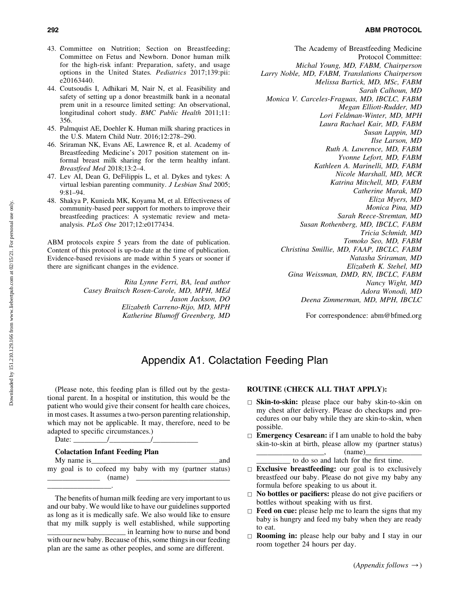# 292 ABM PROTOCOL

- 43. Committee on Nutrition; Section on Breastfeeding; Committee on Fetus and Newborn. Donor human milk for the high-risk infant: Preparation, safety, and usage options in the United States*. Pediatrics* 2017;139:pii: e20163440.
- 44. Coutsoudis I, Adhikari M, Nair N, et al. Feasibility and safety of setting up a donor breastmilk bank in a neonatal prem unit in a resource limited setting: An observational, longitudinal cohort study. *BMC Public Health* 2011;11: 356.
- 45. Palmquist AE, Doehler K. Human milk sharing practices in the U.S. Matern Child Nutr. 2016;12:278–290.
- 46. Sriraman NK, Evans AE, Lawrence R, et al. Academy of Breastfeeding Medicine's 2017 position statement on informal breast milk sharing for the term healthy infant. *Breastfeed Med* 2018;13:2–4.
- 47. Lev AI, Dean G, DeFilippis L, et al. Dykes and tykes: A virtual lesbian parenting community. *J Lesbian Stud* 2005; 9:81–94.
- 48. Shakya P, Kunieda MK, Koyama M, et al. Effectiveness of community-based peer support for mothers to improve their breastfeeding practices: A systematic review and metaanalysis. *PLoS One* 2017;12:e0177434.

ABM protocols expire 5 years from the date of publication. Content of this protocol is up-to-date at the time of publication. Evidence-based revisions are made within 5 years or sooner if there are significant changes in the evidence.

> *Rita Lynne Ferri, BA, lead author Casey Braitsch Rosen-Carole, MD, MPH, MEd Jason Jackson, DO Elizabeth Carreno-Rijo, MD, MPH Katherine Blumoff Greenberg, MD*

The Academy of Breastfeeding Medicine Protocol Committee: *Michal Young, MD, FABM, Chairperson Larry Noble, MD, FABM, Translations Chairperson Melissa Bartick, MD, MSc, FABM Sarah Calhoun, MD Monica V. Carceles-Fraguas, MD, IBCLC, FABM Megan Elliott-Rudder, MD Lori Feldman-Winter, MD, MPH Laura Rachael Kair, MD, FABM Susan Lappin, MD Ilse Larson, MD Ruth A. Lawrence, MD, FABM Yvonne Lefort, MD, FABM Kathleen A. Marinelli, MD, FABM Nicole Marshall, MD, MCR Katrina Mitchell, MD, FABM Catherine Murak, MD Eliza Myers, MD Monica Pina, MD Sarah Reece-Stremtan, MD Susan Rothenberg, MD, IBCLC, FABM Tricia Schmidt, MD Tomoko Seo, MD, FABM Christina Smillie, MD, FAAP, IBCLC, FABM Natasha Sriraman, MD Elizabeth K. Stehel, MD Gina Weissman, DMD, RN, IBCLC, FABM Nancy Wight, MD Adora Wonodi, MD Deena Zimmerman, MD, MPH, IBCLC*

For correspondence: abm@bfmed.org

# Appendix A1. Colactation Feeding Plan

(Please note, this feeding plan is filled out by the gestational parent. In a hospital or institution, this would be the patient who would give their consent for health care choices, in most cases. It assumes a two-person parenting relationship, which may not be applicable. It may, therefore, need to be adapted to specific circumstances.)

Date:  $\frac{1}{\sqrt{1-\frac{1}{2}}}\$ 

### Colactation Infant Feeding Plan

| My name is |  |
|------------|--|
|            |  |

\_\_\_\_\_\_\_\_\_\_\_\_\_\_\_\_\_.

My name is\_\_\_\_\_\_\_\_\_\_\_\_\_\_\_\_\_\_\_\_\_\_\_\_\_\_\_\_\_\_\_\_\_\_and my goal is to cofeed my baby with my (partner status)  $\qquad \qquad$  (name)

The benefits of human milk feeding are very important to us and our baby. We would like to have our guidelines supported as long as it is medically safe. We also would like to ensure that my milk supply is well established, while supporting \_\_\_\_\_\_\_\_\_\_\_\_\_\_\_\_\_\_\_\_\_ in learning how to nurse and bond

# ROUTINE (CHECK ALL THAT APPLY):

- $\Box$  Skin-to-skin: please place our baby skin-to-skin on my chest after delivery. Please do checkups and procedures on our baby while they are skin-to-skin, when possible.
- $\Box$  **Emergency Cesarean:** if I am unable to hold the baby skin-to-skin at birth, please allow my (partner status)  $(name)$

to do so and latch for the first time.

- $\Box$  Exclusive breastfeeding: our goal is to exclusively breastfeed our baby. Please do not give my baby any formula before speaking to us about it.
- $\Box$  No bottles or pacifiers: please do not give pacifiers or bottles without speaking with us first.
- $\Box$  Feed on cue: please help me to learn the signs that my baby is hungry and feed my baby when they are ready to eat.
- $\Box$  **Rooming in:** please help our baby and I stay in our room together 24 hours per day.

with our new baby. Because of this, some things in our feeding plan are the same as other peoples, and some are different.